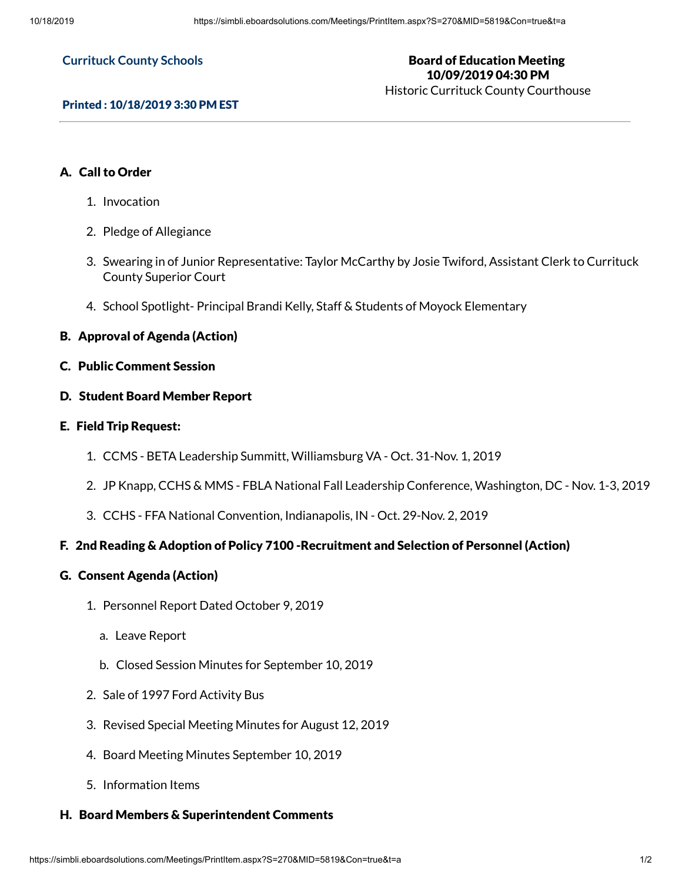#### **Currituck County Schools**

#### Board of Education Meeting 10/09/2019 04:30 PM Historic Currituck County Courthouse

#### Printed : 10/18/2019 3:30 PM EST

# A. Call to Order

- 1. Invocation
- 2. Pledge of Allegiance
- 3. Swearing in of Junior Representative: Taylor McCarthy by Josie Twiford, Assistant Clerk to Currituck County Superior Court
- 4. School Spotlight- Principal Brandi Kelly, Staff & Students of Moyock Elementary

#### B. Approval of Agenda (Action)

C. Public Comment Session

### D. Student Board Member Report

#### E. Field Trip Request:

- 1. CCMS BETA Leadership Summitt, Williamsburg VA Oct. 31-Nov. 1, 2019
- 2. JP Knapp, CCHS & MMS FBLA National Fall Leadership Conference, Washington, DC Nov. 1-3, 2019
- 3. CCHS FFA National Convention, Indianapolis, IN Oct. 29-Nov. 2, 2019

## F. 2nd Reading & Adoption of Policy 7100 -Recruitment and Selection of Personnel (Action)

#### G. Consent Agenda (Action)

- 1. Personnel Report Dated October 9, 2019
	- a. Leave Report
	- b. Closed Session Minutes for September 10, 2019
- 2. Sale of 1997 Ford Activity Bus
- 3. Revised Special Meeting Minutes for August 12, 2019
- 4. Board Meeting Minutes September 10, 2019
- 5. Information Items

#### H. Board Members & Superintendent Comments